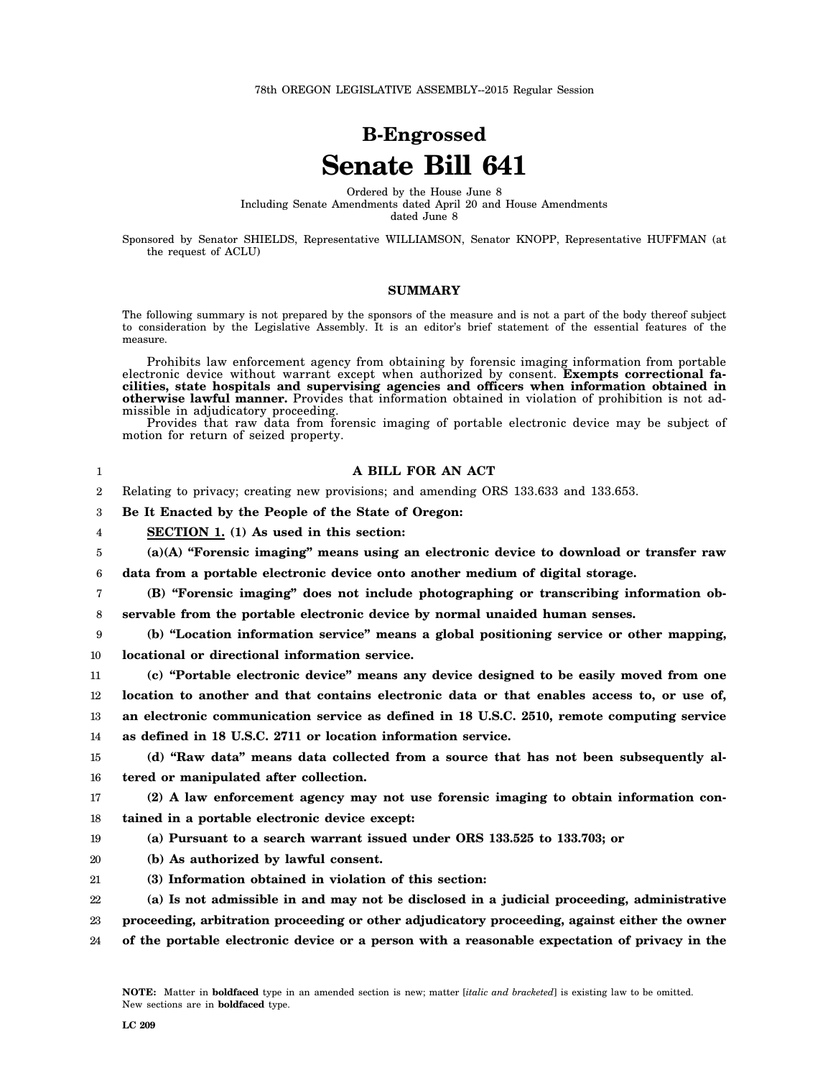## **B-Engrossed Senate Bill 641**

Ordered by the House June 8 Including Senate Amendments dated April 20 and House Amendments dated June 8

Sponsored by Senator SHIELDS, Representative WILLIAMSON, Senator KNOPP, Representative HUFFMAN (at the request of ACLU)

## **SUMMARY**

The following summary is not prepared by the sponsors of the measure and is not a part of the body thereof subject to consideration by the Legislative Assembly. It is an editor's brief statement of the essential features of the measure.

Prohibits law enforcement agency from obtaining by forensic imaging information from portable electronic device without warrant except when authorized by consent. **Exempts correctional facilities, state hospitals and supervising agencies and officers when information obtained in otherwise lawful manner.** Provides that information obtained in violation of prohibition is not admissible in adjudicatory proceeding.

Provides that raw data from forensic imaging of portable electronic device may be subject of motion for return of seized property.

| 1              | A BILL FOR AN ACT                                                                             |
|----------------|-----------------------------------------------------------------------------------------------|
| $\overline{2}$ | Relating to privacy; creating new provisions; and amending ORS 133.633 and 133.653.           |
| 3              | Be It Enacted by the People of the State of Oregon:                                           |
| 4              | SECTION 1. (1) As used in this section:                                                       |
| 5              | $(a)(A)$ "Forensic imaging" means using an electronic device to download or transfer raw      |
| 6              | data from a portable electronic device onto another medium of digital storage.                |
| 7              | (B) "Forensic imaging" does not include photographing or transcribing information ob-         |
| 8              | servable from the portable electronic device by normal unaided human senses.                  |
| 9              | (b) "Location information service" means a global positioning service or other mapping,       |
| 10             | locational or directional information service.                                                |
| $11\,$         | (c) "Portable electronic device" means any device designed to be easily moved from one        |
| 12             | location to another and that contains electronic data or that enables access to, or use of,   |
| 13             | an electronic communication service as defined in 18 U.S.C. 2510, remote computing service    |
| 14             | as defined in 18 U.S.C. 2711 or location information service.                                 |
| 15             | (d) "Raw data" means data collected from a source that has not been subsequently al-          |
| 16             | tered or manipulated after collection.                                                        |
| 17             | (2) A law enforcement agency may not use forensic imaging to obtain information con-          |
| 18             | tained in a portable electronic device except:                                                |
| 19             | (a) Pursuant to a search warrant issued under ORS 133.525 to 133.703; or                      |
| 20             | (b) As authorized by lawful consent.                                                          |
| 21             | (3) Information obtained in violation of this section:                                        |
| 22             | (a) Is not admissible in and may not be disclosed in a judicial proceeding, administrative    |
| 23             | proceeding, arbitration proceeding or other adjudicatory proceeding, against either the owner |
| 24             | of the portable electronic device or a person with a reasonable expectation of privacy in the |
|                |                                                                                               |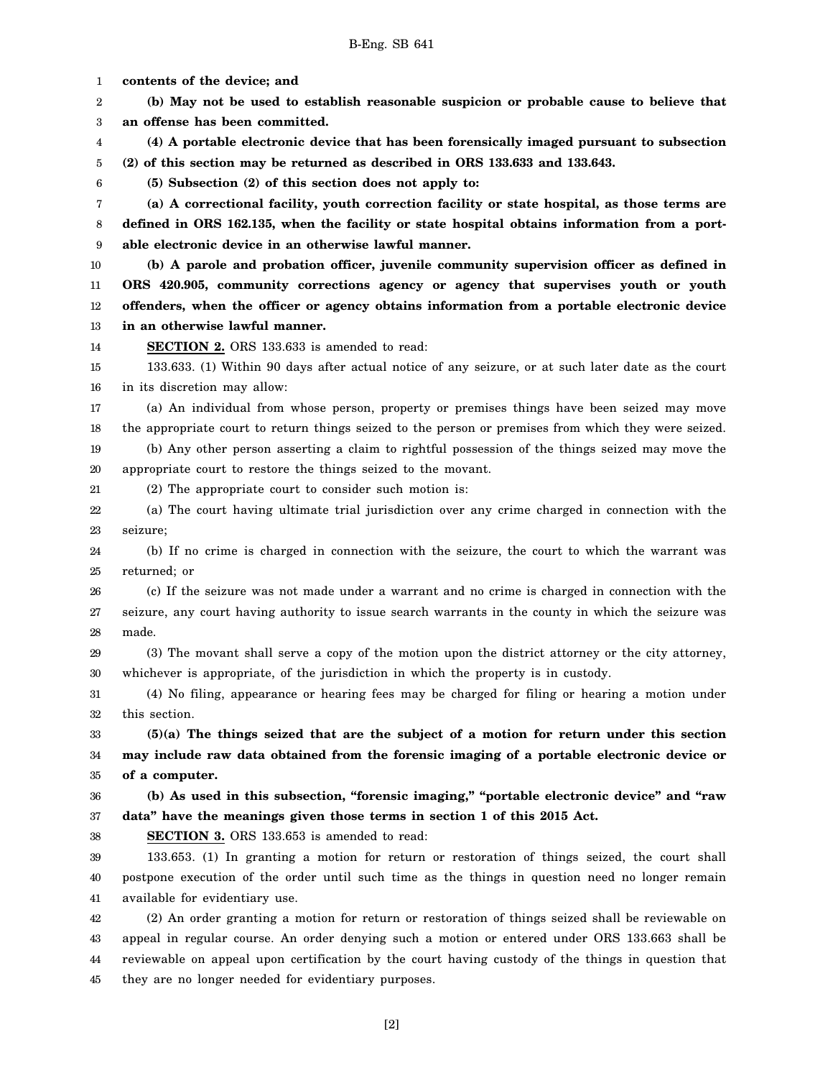**contents of the device; and (b) May not be used to establish reasonable suspicion or probable cause to believe that an offense has been committed. (4) A portable electronic device that has been forensically imaged pursuant to subsection (2) of this section may be returned as described in ORS 133.633 and 133.643. (5) Subsection (2) of this section does not apply to: (a) A correctional facility, youth correction facility or state hospital, as those terms are defined in ORS 162.135, when the facility or state hospital obtains information from a portable electronic device in an otherwise lawful manner. (b) A parole and probation officer, juvenile community supervision officer as defined in ORS 420.905, community corrections agency or agency that supervises youth or youth offenders, when the officer or agency obtains information from a portable electronic device in an otherwise lawful manner. SECTION 2.** ORS 133.633 is amended to read: 133.633. (1) Within 90 days after actual notice of any seizure, or at such later date as the court in its discretion may allow: (a) An individual from whose person, property or premises things have been seized may move the appropriate court to return things seized to the person or premises from which they were seized. (b) Any other person asserting a claim to rightful possession of the things seized may move the appropriate court to restore the things seized to the movant. (2) The appropriate court to consider such motion is:

38

22 23 (a) The court having ultimate trial jurisdiction over any crime charged in connection with the seizure;

24 25 (b) If no crime is charged in connection with the seizure, the court to which the warrant was returned; or

26 27 28 (c) If the seizure was not made under a warrant and no crime is charged in connection with the seizure, any court having authority to issue search warrants in the county in which the seizure was made.

29 30 (3) The movant shall serve a copy of the motion upon the district attorney or the city attorney, whichever is appropriate, of the jurisdiction in which the property is in custody.

31 32 (4) No filing, appearance or hearing fees may be charged for filing or hearing a motion under this section.

33 34 35 **(5)(a) The things seized that are the subject of a motion for return under this section may include raw data obtained from the forensic imaging of a portable electronic device or of a computer.**

36 37 **(b) As used in this subsection, "forensic imaging," "portable electronic device" and "raw data" have the meanings given those terms in section 1 of this 2015 Act.**

**SECTION 3.** ORS 133.653 is amended to read:

39 40 41 133.653. (1) In granting a motion for return or restoration of things seized, the court shall postpone execution of the order until such time as the things in question need no longer remain available for evidentiary use.

42 43 44 45 (2) An order granting a motion for return or restoration of things seized shall be reviewable on appeal in regular course. An order denying such a motion or entered under ORS 133.663 shall be reviewable on appeal upon certification by the court having custody of the things in question that they are no longer needed for evidentiary purposes.